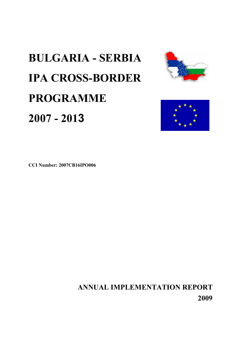# **BULGARIA - SERBIA IPA CROSS-BORDER PROGRAMME 2007 - 2013**





**ANNUAL IMPLEMENTATION REPORT 2009**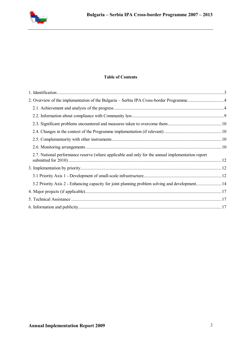

### **Table of Contents**

| 2.7. National performance reserve (where applicable and only for the annual implementation report |  |
|---------------------------------------------------------------------------------------------------|--|
|                                                                                                   |  |
|                                                                                                   |  |
| 3.2 Priority Axis 2 - Enhancing capacity for joint planning problem solving and development14     |  |
|                                                                                                   |  |
|                                                                                                   |  |
|                                                                                                   |  |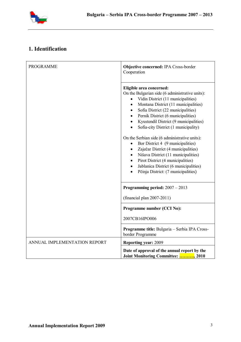

# **1. Identification**

| <b>PROGRAMME</b>             | <b>Objective concerned: IPA Cross-border</b><br>Cooperation                                                                                                                                                                                                                                                                                                                                                                                                                                                                                                                                                                                                                                                              |
|------------------------------|--------------------------------------------------------------------------------------------------------------------------------------------------------------------------------------------------------------------------------------------------------------------------------------------------------------------------------------------------------------------------------------------------------------------------------------------------------------------------------------------------------------------------------------------------------------------------------------------------------------------------------------------------------------------------------------------------------------------------|
|                              | Eligible area concerned:<br>On the Bulgarian side (6 administrative units):<br>Vidin District (11 municipalities)<br>Montana District (11 municipalities)<br>$\bullet$<br>Sofia District (22 municipalities)<br>$\bullet$<br>Pernik District (6 municipalities)<br>$\bullet$<br>Kyustendil District (9 municipalities)<br>$\bullet$<br>Sofia-city District (1 municipality)<br>On the Serbian side (6 administrative units):<br>Bor District 4 (9 municipalities)<br>Zaječar District (4 municipalities)<br>$\bullet$<br>Nišava District (11 municipalities)<br>$\bullet$<br>Pirot District (4 municipalities)<br>$\bullet$<br>Jablanica District (6 municipalities)<br>$\bullet$<br>Pčinja District: (7 municipalities) |
|                              | Programming period: $2007 - 2013$                                                                                                                                                                                                                                                                                                                                                                                                                                                                                                                                                                                                                                                                                        |
|                              | $(\text{financial plan } 2007-2011)$                                                                                                                                                                                                                                                                                                                                                                                                                                                                                                                                                                                                                                                                                     |
|                              | Programme number (CCI No):                                                                                                                                                                                                                                                                                                                                                                                                                                                                                                                                                                                                                                                                                               |
|                              | 2007CB16IPO006                                                                                                                                                                                                                                                                                                                                                                                                                                                                                                                                                                                                                                                                                                           |
|                              | Programme title: Bulgaria - Serbia IPA Cross-<br>border Programme                                                                                                                                                                                                                                                                                                                                                                                                                                                                                                                                                                                                                                                        |
| ANNUAL IMPLEMENTATION REPORT | <b>Reporting year: 2009</b>                                                                                                                                                                                                                                                                                                                                                                                                                                                                                                                                                                                                                                                                                              |
|                              | Date of approval of the annual report by the<br>Joint Monitoring Committee: , 2010                                                                                                                                                                                                                                                                                                                                                                                                                                                                                                                                                                                                                                       |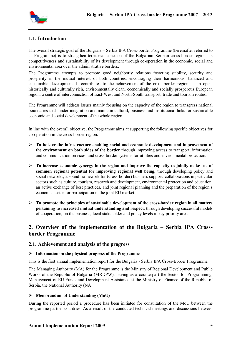

## **1.1. Introduction**

The overall strategic goal of the Bulgaria – Serbia IPA Cross-border Programme (hereinafter referred to as Programme) is to strengthen territorial cohesion of the Bulgarian–Serbian cross-border region, its competitiveness and sustainability of its development through co-operation in the economic, social and environmental area over the administrative borders.

The Programme attempts to promote good neighborly relations fostering stability, security and prosperity in the mutual interest of both countries, encouraging their harmonious, balanced and sustainable development. It contributes to the achievement of the cross-border region as an open, historically and culturally rich, environmentally clean, economically and socially prosperous European region, a centre of interconnection of East-West and North-South transport, trade and tourism routes.

The Programme will address issues mainly focusing on the capacity of the region to transgress national boundaries that hinder integration and maintain cultural, business and institutional links for sustainable economic and social development of the whole region.

In line with the overall objective, the Programme aims at supporting the following specific objectives for co-operation in the cross-border region:

- **To bolster the infrastructure enabling social and economic development and improvement of the environment on both sides of the border** through improving access to transport, information and communication services, and cross-border systems for utilities and environmental protection.
- **To increase economic synergy in the region and improve the capacity to jointly make use of common regional potential for improving regional well being**, through developing policy and social networks, a sound framework for (cross-border) business support, collaborations in particular sectors such as culture, tourism, research and development, environmental protection and education, an active exchange of best practices, and joint regional planning and the preparation of the region's economic sector for participation in the joint EU market.
- **To promote the principles of sustainable development of the cross-border region in all matters pertaining to increased mutual understanding and respect**, through developing successful models of cooperation, on the business, local stakeholder and policy levels in key priority areas.

# **2. Overview of the implementation of the Bulgaria – Serbia IPA Crossborder Programme**

#### **2.1. Achievement and analysis of the progress**

#### **Information on the physical progress of the Programme**

This is the first annual implementation report for the Bulgaria - Serbia IPA Cross-Border Programme.

The Managing Authority (MA) for the Programme is the Ministry of Regional Development and Public Works of the Republic of Bulgaria (MRDPW), having as a counterpart the Sector for Programming, Management of EU Funds and Development Assistance at the Ministry of Finance of the Republic of Serbia, the National Authority (NA).

#### **Memorandum of Understanding (MoU)**

During the reported period a procedure has been initiated for consultation of the MoU between the programme partner countries. As a result of the conducted technical meetings and discussions between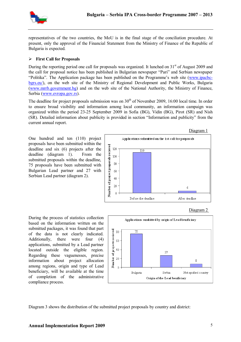

representatives of the two countries, the MoU is in the final stage of the conciliation procedure. At present, only the approval of the Financial Statement from the Ministry of Finance of the Republic of Bulgaria is expected.

#### **First Call for Proposals**

During the reporting period one call for proposals was organized. It lunched on  $31<sup>st</sup>$  of August 2009 and the call for proposal notice has been published in Bulgarian newspaper "Pari" and Serbian newspaper "Politika". The Application package has been published on the Programme's web site (www.ipacbcbgrs.eu/), on the web site of the Ministry of Regional Development and Public Works, Bulgaria (www.mrrb.government.bg) and on the web site of the National Authority, the Ministry of Finance, Serbia (www.evropa.gov.rs).

The deadline for project proposals submission was on  $30<sup>th</sup>$  of November 2009, 16:00 local time. In order to ensure broad visibility and information among local community, an information campaign was organized within the period 23-25 September 2009 in Sofia (BG), Vidin (BG), Pirot (SR) and Nish (SR). Detailed information about publicity is provided in section "Information and publicity" from the current annual report.

One hundred and ten (110) project proposals have been submitted within the deadline and six (6) projects after the deadline (diagram 1). From the submitted proposals within the deadline, 75 proposals have been submitted with Bulgarian Lead partner and 27 with Serbian Lead partner (diagram 2).



During the process of statistics collection based on the information written on the submitted packages, it was found that part of the data is not clearly indicated. Additionally, there were four (4) applications, submitted by a Lead partner located outside the eligible region. Regarding these vaguenesses, precise information about project allocation among regions, origin and type of Lead beneficiary, will be available at the time of completion of the administrative compliance process.



Diagram 3 shows the distribution of the submitted project proposals by country and district:

Diagram 2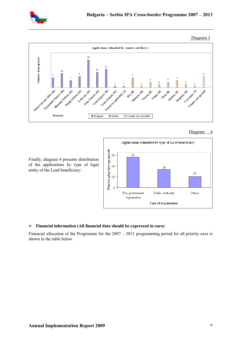





#### Diagram 4



Finally, diagram 4 presents distribution of the applications by type of legal entity of the Lead beneficiary:

#### **Financial information (All financial data should be expressed in euro)**

Financial allocation of the Programme for the 2007 – 2011 programming period for all priority axes is shown in the table below.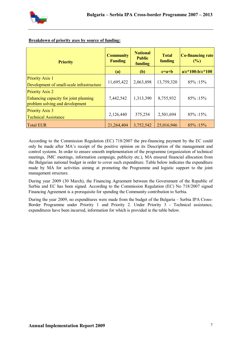

| <b>Priority</b>                                                                                    | <b>Community</b><br><b>Funding</b> | <b>National</b><br><b>Public</b><br>funding | <b>Total</b><br>funding | <b>Co-financing rate</b><br>(%) |
|----------------------------------------------------------------------------------------------------|------------------------------------|---------------------------------------------|-------------------------|---------------------------------|
|                                                                                                    | (a)                                | (b)                                         | $c=a+b$                 | $a/c*100:b/c*100$               |
| <b>Priority Axis 1</b><br>Development of small-scale infrastructure                                | 11,695,422                         | 2,063,898                                   | 13,759,320              | $85\% : 15\%$                   |
| <b>Priority Axis 2</b><br>Enhancing capacity for joint planning<br>problem solving and development | 7,442,542                          | 1,313,390                                   | 8,755,932               | $85\% : 15\%$                   |
| <b>Priority Axis 3</b><br><b>Technical Assistance</b>                                              | 2,126,440                          | 375,254                                     | 2,501,694               | $85\% : 15\%$                   |
| <b>Total EUR</b>                                                                                   | 21,264,404                         | 3,752,542                                   | 25,016,946              | 85% :15%                        |

#### **Breakdown of priority axes by source of funding:**

According to the Commission Regulation (EC) 718/2007 the pre-financing payment by the EC could only be made after MA's receipt of the positive opinion on its Description of the management and control systems. In order to ensure smooth implementation of the programme (organization of technical meetings, JMC meetings, information campaign, publicity etc.), MA ensured financial allocation from the Bulgarian national budget in order to cover such expenditure. Table below indicates the expenditure made by MA for activities aiming at promoting the Programme and logistic support to the joint management structure.

During year 2009 (30 March), the Financing Agreement between the Government of the Republic of Serbia and EC has been signed. According to the Commission Regulation (EC) No 718/2007 signed Financing Agreement is a prerequisite for spending the Community contribution to Serbia.

During the year 2009, no expenditures were made from the budget of the Bulgaria – Serbia IPA Cross-Border Programme under Priority 1 and Priority 2. Under Priority 3 - Technical assistance, expenditures have been incurred, information for which is provided in the table below.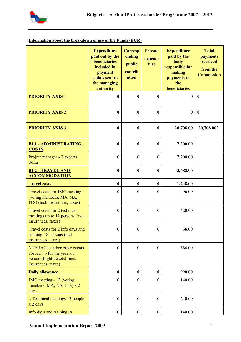

# **Information about the breakdown of use of the Funds (EUR)**

|                                                                                                                        | <b>Expenditure</b><br>paid out by the<br>beneficiaries<br>included in<br>payment<br>claims sent to<br>the managing<br>authority | <b>Corresp</b><br>onding<br>public<br>contrib<br>ution | <b>Private</b><br>expendi<br>ture | <b>Expenditure</b><br>paid by the<br>body<br>responsible for<br>making<br>payments to<br>the<br>beneficiaries | <b>Total</b><br><b>payments</b><br>received<br>from the<br><b>Commission</b> |
|------------------------------------------------------------------------------------------------------------------------|---------------------------------------------------------------------------------------------------------------------------------|--------------------------------------------------------|-----------------------------------|---------------------------------------------------------------------------------------------------------------|------------------------------------------------------------------------------|
| <b>PRIORITY AXIS 1</b>                                                                                                 | $\bf{0}$                                                                                                                        | $\bf{0}$                                               | $\bf{0}$                          | $\bf{0}$                                                                                                      | $\bf{0}$                                                                     |
| <b>PRIORITY AXIS 2</b>                                                                                                 | $\bf{0}$                                                                                                                        | $\boldsymbol{0}$                                       | $\boldsymbol{0}$                  | $\bf{0}$                                                                                                      | $\boldsymbol{0}$                                                             |
| <b>PRIORITY AXIS 3</b>                                                                                                 | $\bf{0}$                                                                                                                        | $\boldsymbol{0}$                                       | $\boldsymbol{0}$                  | 20,708.00                                                                                                     | 20,708.00*                                                                   |
| <b>BL1 - ADMINISTRATING</b><br><b>COSTS</b>                                                                            | $\bf{0}$                                                                                                                        | $\boldsymbol{0}$                                       | $\bf{0}$                          | 7,200.00                                                                                                      |                                                                              |
| Project manager - 2 experts<br>Sofia                                                                                   | $\boldsymbol{0}$                                                                                                                | $\mathbf{0}$                                           | $\mathbf{0}$                      | 7,200.00                                                                                                      |                                                                              |
| <b>BL2 - TRAVEL AND</b><br><b>ACCOMMODATION</b>                                                                        | $\bf{0}$                                                                                                                        | $\boldsymbol{0}$                                       | $\boldsymbol{0}$                  | 3,688.00                                                                                                      |                                                                              |
| <b>Travel costs</b>                                                                                                    | $\bf{0}$                                                                                                                        | $\boldsymbol{0}$                                       | $\bf{0}$                          | 1,248.00                                                                                                      |                                                                              |
| Travel costs for JMC meeting<br>(voting members, MA, NA,<br>JTS) (incl. insurances, taxes)                             | $\overline{0}$                                                                                                                  | $\boldsymbol{0}$                                       | $\mathbf{0}$                      | 96.00                                                                                                         |                                                                              |
| Travel costs for 2 technical<br>meetings up to 12 persons (incl.<br>insurances, taxes)                                 | $\boldsymbol{0}$                                                                                                                | $\boldsymbol{0}$                                       | $\mathbf{0}$                      | 420.00                                                                                                        |                                                                              |
| Travel costs for 2 info days and<br>training - 8 persons (incl.<br>insurances, taxes)                                  | $\boldsymbol{0}$                                                                                                                | $\boldsymbol{0}$                                       | $\boldsymbol{0}$                  | 68.00                                                                                                         |                                                                              |
| NTERACT and/or other events<br>abroad - $6$ for the year $x$ 1<br>person (flight tickets) (incl.<br>insurances, taxes) | $\overline{0}$                                                                                                                  | $\boldsymbol{0}$                                       | $\mathbf{0}$                      | 664.00                                                                                                        |                                                                              |
| <b>Daily allowance</b>                                                                                                 | $\bf{0}$                                                                                                                        | $\boldsymbol{0}$                                       | $\boldsymbol{0}$                  | 990.00                                                                                                        |                                                                              |
| JMC meeting - 12 (voting<br>members, MA, NA, JTS) x 2<br>days                                                          | $\boldsymbol{0}$                                                                                                                | $\boldsymbol{0}$                                       | $\mathbf{0}$                      | 140.00                                                                                                        |                                                                              |
| 2 Technical meetings 12 people<br>$x$ 2 days                                                                           | $\mathbf{0}$                                                                                                                    | $\boldsymbol{0}$                                       | $\boldsymbol{0}$                  | 640.00                                                                                                        |                                                                              |
| Info days and training (8)                                                                                             | $\boldsymbol{0}$                                                                                                                | $\boldsymbol{0}$                                       | $\boldsymbol{0}$                  | 140.00                                                                                                        |                                                                              |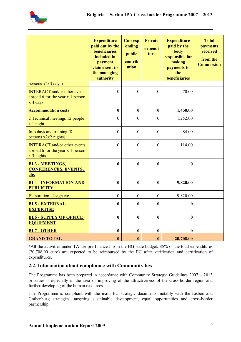

|                                                                                         | <b>Expenditure</b><br>paid out by the<br>beneficiaries<br>included in<br>payment<br>claims sent to<br>the managing<br>authority | <b>Corresp</b><br>onding<br>public<br>contrib<br>ution | <b>Private</b><br>expendi<br>ture | <b>Expenditure</b><br>paid by the<br>body<br>responsible for<br>making<br>payments to<br>the<br>beneficiaries | <b>Total</b><br><b>payments</b><br>received<br>from the<br><b>Commission</b> |
|-----------------------------------------------------------------------------------------|---------------------------------------------------------------------------------------------------------------------------------|--------------------------------------------------------|-----------------------------------|---------------------------------------------------------------------------------------------------------------|------------------------------------------------------------------------------|
| persons x2x3 days)                                                                      |                                                                                                                                 |                                                        |                                   |                                                                                                               |                                                                              |
| <b>INTERACT</b> and/or other events<br>abroad 6 for the year $x$ 1 person<br>x 4 days   | $\overline{0}$                                                                                                                  | $\mathbf{0}$                                           | $\overline{0}$                    | 70.00                                                                                                         |                                                                              |
| <b>Accommodation costs</b>                                                              | $\bf{0}$                                                                                                                        | $\bf{0}$                                               | $\bf{0}$                          | 1,450.00                                                                                                      |                                                                              |
| 2 Technical meetings 12 people<br>$x 1$ night                                           | $\theta$                                                                                                                        | $\boldsymbol{0}$                                       | $\boldsymbol{0}$                  | 1,252.00                                                                                                      |                                                                              |
| Info days and training (8)<br>persons $x2x2$ nights)                                    | $\theta$                                                                                                                        | $\Omega$                                               | $\Omega$                          | 84.00                                                                                                         |                                                                              |
| <b>INTERACT</b> and/or other events<br>abroad 6 for the year x 1 person<br>$x$ 3 nights | $\mathbf{0}$                                                                                                                    | $\overline{0}$                                         | $\overline{0}$                    | 114.00                                                                                                        |                                                                              |
| <b>BL3 - MEETINGS,</b><br><b>CONFERENCES, EVENTS,</b><br>etc.                           | $\mathbf{0}$                                                                                                                    | $\mathbf{0}$                                           | 0                                 | $\mathbf{0}$                                                                                                  |                                                                              |
| <b>BL4 - INFORMATION AND</b><br><b>PUBLICITY</b>                                        | $\bf{0}$                                                                                                                        | $\bf{0}$                                               | $\bf{0}$                          | 9,820.00                                                                                                      |                                                                              |
| Elaboration, design etc.                                                                | $\boldsymbol{0}$                                                                                                                | $\boldsymbol{0}$                                       | $\mathbf{0}$                      | 9,820.00                                                                                                      |                                                                              |
| <b>BL5 - EXTERNAL</b><br><b>EXPERTISE</b>                                               | $\bf{0}$                                                                                                                        | $\bf{0}$                                               | $\bf{0}$                          | $\bf{0}$                                                                                                      |                                                                              |
| <b>BL6 - SUPPLY OF OFFICE</b><br><b>EQUIPMENT</b>                                       | $\bf{0}$                                                                                                                        | $\boldsymbol{0}$                                       | $\bf{0}$                          | $\bf{0}$                                                                                                      |                                                                              |
| <b>BL7 - OTHER</b>                                                                      | $\bf{0}$                                                                                                                        | $\boldsymbol{0}$                                       | $\bf{0}$                          | $\boldsymbol{0}$                                                                                              |                                                                              |
| <b>GRAND TOTAL</b>                                                                      | $\bf{0}$                                                                                                                        | $\bf{0}$                                               | $\bf{0}$                          | 20,708.00                                                                                                     |                                                                              |

\*All the activities under TA are pre-financed from the BG state budget. 85% of the total expenditures (20,708.00 euro) are expected to be reimbursed by the EC after verification and certification of expenditures.

# **2.2. Information about compliance with Community law**

The Programme has been prepared in accordance with Community Strategic Guidelines 2007 – 2013 priorities – especially in the area of improving of the attractiveness of the cross-border region and further developing of the human resources.

The Programme is compliant with the main EU strategic documents, notably with the Lisbon and Gothenburg strategies, targeting sustainable development, equal opportunities and cross-border partnership.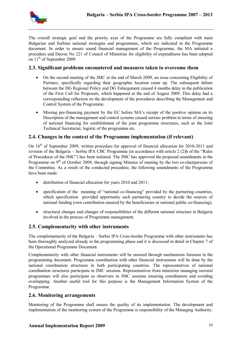

The overall strategic goal and the priority axes of the Programme are fully compliant with main Bulgarian and Serbian national strategies and programmes, which are indicated in the Programme document. In order to ensure sound financial management of the Programme, the MA initiated a procedure and Decree No 221 of Council of Ministries for eligibility of expenditures has been adopted on  $11<sup>th</sup>$  of September 2009.

## **2.3. Significant problems encountered and measures taken to overcome them**

- On the second meeting of the JMC at the end of March 2009, an issue concerning Eligibility of Partners, specifically regarding their geographic location came up. The subsequent debate between the DG Regional Policy and DG Enlargement caused 4 months delay in the publication of the First Call for Proposals, which happened at the end of August 2009. This delay had a corresponsding reflection on the development of the procedures describing the Management and Control System of the Programme.
- Missing pre-financing payment by the EC before MA's receipt of the positive opinion on its Description of the management and control systems caused serious problem in terms of ensuring of national financing for establishment of the joint programme structures, such as the Joint Technical Secretariat, logistic of the programme etc.

## **2.4. Changes in the context of the Programme implementation (if relevant)**

On 16<sup>th</sup> of September 2009, written procedure for approval of financial allocation for 2010-2011 and revision of the Bulgaria – Serbia IPA CBC Programme (in accordance with article 2 (2)h of the "Rules of Procedures of the JMC") has been initiated. The JMC has approved the proposed amendments in the Programme on 9<sup>th</sup> of October 2009, through signing Minutes of meeting by the two co-chairpersons of the Committee. As a result of the conducted procedure, the following amendments of the Programme have been made:

- distribution of financial allocation for years 2010 and 2011;
- specification of the meaning of "national co-financing" provided by the partnering countries, which specification provided opportunity each partnering country to decide the sources of national funding (own contribution ensured by the beneficiaries or national public co-financing);
- structural changes and changes of responsibilities of the different national structure in Bulgaria involved in the process of Programme management;

## **2.5. Complementarity with other instruments**

The complementarity of the Bulgaria – Serbia IPA Cross-border Programme with other instruments has been thoroughly analyzed already in the programming phase and it is discussed in detail in Chapter 7 of the Operational Programme Document.

Complementarity with other financial instruments will be ensured through mechanisms foreseen in the programming document. Programme coordination with other financial instruments will be done by the national coordination structures in both participating countries. The representatives of national coordination structures participate in JMC sessions. Representatives from ministries managing sectoral programmes will also participate as observers in JMC sessions ensuring coordination and avoiding overlapping. Another useful tool for this purpose is the Management Information System of the Programme.

## **2.6. Monitoring arrangements**

Monitoring of the Programme shall ensure the quality of its implementation. The development and implementation of the monitoring system of the Programme is responsibility of the Managing Authority.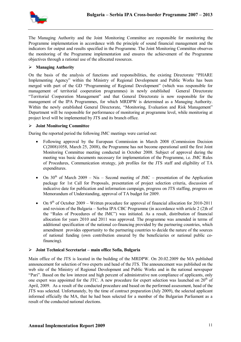

The Managing Authority and the Joint Monitoring Committee are responsible for monitoring the Programme implementation in accordance with the principle of sound financial management and the indicators for output and results specified in the Programme. The Joint Monitoring Committee observes the monitoring of the Programme implementation and ensures the achievement of the Programme objectives through a rational use of the allocated resources.

#### **Managing Authority**

On the basis of the analysis of functions and responsibilities, the existing Directorate "PHARE Implementing Agency" within the Ministry of Regional Development and Public Works has been merged with part of the GD "Programming of Regional Development" (which was responsible for management of territorial cooperation programmes) in newly established General Directorate "Territorial Cooperation Management" and that General Directorate is now responsible for the management of the IPA Programmes, for which MRDPW is determined as a Managing Authority. Within the newly established General Directorate, "Monitoring, Evaluation and Risk Management" Department will be responsible for performance of monitoring at programme level, while monitoring at project level will be implemented by JTS and its branch office.

#### **Joint Monitoring Committee**

During the reported period the following JMC meetings were carried out:

- Following approval by the European Commission in March 2008 (Commission Decision C(2008)1058, March 25, 2008), the Programme has not become operational until the first Joint Monitoring Committee meeting conducted in October 2008. Subject of approval during the meeting was basic documents necessary for implementation of the Programme, i.e. JMC Rules of Procedures, Communication strategy, job profiles for the JTS staff and eligibility of TA expenditures.
- On  $30<sup>th</sup>$  of March 2009 Nis Second meeting of JMC presentation of the Application package for 1st Call for Proposals, presentation of project selection criteria, discussion of indicative date for publication and information campaign, progress on JTS staffing, progress on Memorandum of Understanding, approval of TA budget for 2009.
- On  $9<sup>th</sup>$  of October 2009 Written procedure for approval of financial allocation for 2010-2011 and revision of the Bulgaria – Serbia IPA CBC Programme (in accordance with article 2 (2)h of the "Rules of Procedures of the JMC") was initiated. As a result, distribution of financial allocation for years 2010 and 2011 was approved. The programme was amended in terms of additional specification of the national co-financing provided by the partnering countries, which amendment provides opportunity to the partnering countries to decide the nature of the sources of national funding (own contribution ensured by the beneficiaries or national public cofinancing).

#### **Joint Technical Secretariat – main office Sofia, Bulgaria**

Main office of the JTS is located in the building of the MRDPW. On 20.02.2009 the MA published announcement for selection of two experts and head of the JTS. The announcement was published on the web site of the Ministry of Regional Development and Public Works and in the national newspaper "Pari". Based on the low interest and high percent of administrative non compliance of applicants, only one expert was appointed for the JTC. A new procedure for expert selection was launched on  $20<sup>th</sup>$  of April, 2009. As a result of the conducted procedure and based on the performed assessment, head of the JTS was selected. Unfortunately, by the time of contract preparation (July 2009), the selected applicant informed officially the MA, that he had been selected for a member of the Bulgarian Parliament as a result of the conducted national elections.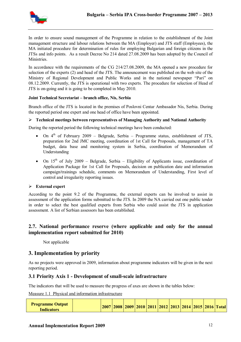

In order to ensure sound management of the Programme in relation to the establishment of the Joint management structure and labour relations between the MA (Employer) and JTS staff (Employees), the MA initiated procedure for determination of rules for employing Bulgarian and foreign citizens in the JTSs and info points. As a result Decree No 214 dated 27.08.2009 has been adopted by the Council of Ministries.

In accordance with the requirements of the CG 214/27.08.2009, the MA opened a new procedure for selection of the experts (2) and head of the JTS. The announcement was published on the web site of the Ministry of Regional Development and Public Works and in the national newspaper "Pari" on 08.12.2009. Currently, the JTS is operational with two experts. The procedure for selection of Head of JTS is on-going and it is going to be completed in May 2010.

#### **Joint Technical Secretariat – branch office, Nis, Serbia**

Branch office of the JTS is located in the premises of Poslovni Centar Ambasador Nis, Serbia. During the reported period one expert and one head of office have been appointed.

#### **Technical meetings between representatives of Managing Authority and National Authority**

During the reported period the following technical meetings have been conducted:

- On  $4<sup>th</sup>$  of February 2009 Belgrade, Serbia Programme status, establishment of JTS, preparation for 2nd JMC meeting, coordination of 1st Call for Proposals, management of TA budget, data base and monitoring system in Serbia, coordination of Memorandum of Understanding
- On  $15<sup>th</sup>$  of July 2009 Belgrade, Serbia Eligibility of Applicants issue, coordination of Application Package for 1st Call for Proposals, decision on publication date and information campaign/trainings schedule, comments on Memorandum of Understanding, First level of control and irregularity reporting issues.

#### **External expert**

According to the point 9.2 of the Programme, the external experts can be involved to assist in assessment of the application forms submitted to the JTS. In 2009 the NA carried out one public tender in order to select the best qualified experts from Serbia who could assist the JTS in application assessment. A list of Serbian assessors has been established.

# **2.7. National performance reserve (where applicable and only for the annual implementation report submitted for 2010)**

Not applicable

# **3. Implementation by priority**

As no projects were approved in 2009, information about programme indicators will be given in the next reporting period.

#### **3.1 Priority Axis 1 - Development of small-scale infrastructure**

The indicators that will be used to measure the progress of axes are shown in the tables below:

Measure 1.1 Physical and information infrastructure

| <b>Programme Output</b><br>Indicators |  |  |  |  |  |  |  |  |  |  | 2007   2008   2009   2010   2011   2012   2013   2014   2015   2016   Total |  |
|---------------------------------------|--|--|--|--|--|--|--|--|--|--|-----------------------------------------------------------------------------|--|
|---------------------------------------|--|--|--|--|--|--|--|--|--|--|-----------------------------------------------------------------------------|--|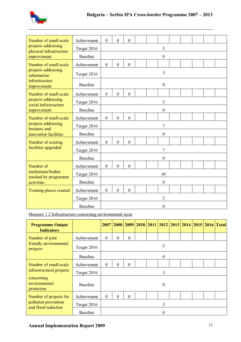

| Number of small-scale                                        | Achievement     | $\overline{0}$   | $\overline{0}$   | $\overline{0}$   |  |                  |  |  |  |
|--------------------------------------------------------------|-----------------|------------------|------------------|------------------|--|------------------|--|--|--|
| projects addressing<br>physical infrastructure               | Target 2016     |                  |                  |                  |  | 5                |  |  |  |
| improvement                                                  | <b>Baseline</b> |                  |                  |                  |  | $\boldsymbol{0}$ |  |  |  |
| Number of small-scale                                        | Achievement     | $\boldsymbol{0}$ | $\boldsymbol{0}$ | $\overline{0}$   |  |                  |  |  |  |
| projects addressing<br>information                           | Target 2016     |                  |                  |                  |  | 3                |  |  |  |
| infrastructure<br>improvement                                | <b>Baseline</b> |                  |                  |                  |  | $\mathbf{0}$     |  |  |  |
| Number of small-scale                                        | Achievement     | $\overline{0}$   | $\boldsymbol{0}$ | $\boldsymbol{0}$ |  |                  |  |  |  |
| projects addressing<br>social infrastructure                 | Target 2016     |                  |                  |                  |  | 3                |  |  |  |
| improvement                                                  | <b>Baseline</b> |                  |                  |                  |  | $\boldsymbol{0}$ |  |  |  |
| Number of small-scale<br>projects addressing<br>business and | Achievement     | $\overline{0}$   | $\overline{0}$   | $\overline{0}$   |  |                  |  |  |  |
|                                                              | Target 2016     |                  |                  |                  |  | 7                |  |  |  |
| innovation facilities                                        | <b>Baseline</b> |                  |                  |                  |  | $\boldsymbol{0}$ |  |  |  |
| Number of existing                                           | Achievement     | $\boldsymbol{0}$ | $\boldsymbol{0}$ | $\boldsymbol{0}$ |  |                  |  |  |  |
| facilities upgraded                                          | Target 2016     |                  |                  |                  |  | 7                |  |  |  |
|                                                              | <b>Baseline</b> |                  |                  |                  |  | $\boldsymbol{0}$ |  |  |  |
| Number of                                                    | Achievement     | $\boldsymbol{0}$ | $\boldsymbol{0}$ | $\boldsymbol{0}$ |  |                  |  |  |  |
| institutions/bodies                                          | Target 2016     |                  |                  |                  |  | 45               |  |  |  |
| reached by programme<br>activities                           | <b>Baseline</b> |                  |                  |                  |  | $\boldsymbol{0}$ |  |  |  |
| Training places created                                      | Achievement     | $\overline{0}$   | $\overline{0}$   | $\boldsymbol{0}$ |  |                  |  |  |  |
|                                                              | Target 2016     |                  |                  |                  |  | 3                |  |  |  |
|                                                              | <b>Baseline</b> |                  |                  |                  |  | $\boldsymbol{0}$ |  |  |  |

Measure 1.2 Infrastructure concerning environmental issue

| <b>Programme Output</b><br><b>Indicators</b>                                                   |                 |                |                |                  |  |          |  |  | 2007 2008 2009 2010 2011 2012 2013 2014 2015 2016 Total |
|------------------------------------------------------------------------------------------------|-----------------|----------------|----------------|------------------|--|----------|--|--|---------------------------------------------------------|
| Number of joint                                                                                | Achievement     | $\mathbf{0}$   | $\theta$       | $\boldsymbol{0}$ |  |          |  |  |                                                         |
| friendly environmental<br>projects                                                             | Target 2016     |                |                |                  |  | 5        |  |  |                                                         |
|                                                                                                | <b>Baseline</b> |                |                |                  |  | $\theta$ |  |  |                                                         |
| Number of small-scale<br>infrastructural projects<br>concerning<br>environmental<br>protection | Achievement     | $\overline{0}$ | $\overline{0}$ | $\theta$         |  |          |  |  |                                                         |
|                                                                                                | Target 2016     |                |                |                  |  | 3        |  |  |                                                         |
|                                                                                                | <b>Baseline</b> |                |                |                  |  | $\theta$ |  |  |                                                         |
| Number of projects for                                                                         | Achievement     | $\Omega$       | $\Omega$       | $\theta$         |  |          |  |  |                                                         |
| pollution prevention<br>and flood reduction                                                    | Target 2016     |                |                |                  |  | 3        |  |  |                                                         |
|                                                                                                | <b>Baseline</b> |                |                |                  |  | 0        |  |  |                                                         |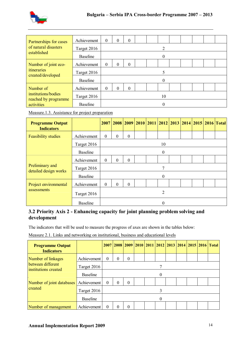

| Partnerships for cases                                    | Achievement     | $\mathbf{0}$ | $\Omega$ | $\boldsymbol{0}$ |  |  |          |  |  |  |  |  |  |
|-----------------------------------------------------------|-----------------|--------------|----------|------------------|--|--|----------|--|--|--|--|--|--|
| of natural disasters                                      | Target 2016     |              |          |                  |  |  | 2        |  |  |  |  |  |  |
| established                                               | <b>Baseline</b> |              |          |                  |  |  | $\theta$ |  |  |  |  |  |  |
| Number of joint eco-                                      | Achievement     | $\mathbf{0}$ | $\Omega$ | $\theta$         |  |  |          |  |  |  |  |  |  |
| itineraries<br>created/developed                          | Target 2016     | 5            |          |                  |  |  |          |  |  |  |  |  |  |
|                                                           | <b>Baseline</b> |              |          |                  |  |  | $\theta$ |  |  |  |  |  |  |
| Number of                                                 | Achievement     | $\Omega$     | $\Omega$ | $\overline{0}$   |  |  |          |  |  |  |  |  |  |
| institutions/bodies<br>reached by programme<br>activities | Target 2016     |              |          |                  |  |  | 10       |  |  |  |  |  |  |
|                                                           | <b>Baseline</b> | $\Omega$     |          |                  |  |  |          |  |  |  |  |  |  |

Measure.1.3. Assistance for project preparation

| <b>Programme Output</b><br><b>Indicators</b> |                 |              |                |                |  |  |          |  |  |  |  | 2007   2008   2009   2010   2011   2012   2013   2014   2015   2016   Total |
|----------------------------------------------|-----------------|--------------|----------------|----------------|--|--|----------|--|--|--|--|-----------------------------------------------------------------------------|
| <b>Feasibility studies</b>                   | Achievement     | $\mathbf{0}$ | $\mathbf{0}$   | $\overline{0}$ |  |  |          |  |  |  |  |                                                                             |
|                                              | Target 2016     |              |                |                |  |  | 10       |  |  |  |  |                                                                             |
|                                              | <b>Baseline</b> |              |                |                |  |  | $\theta$ |  |  |  |  |                                                                             |
| Preliminary and<br>detailed design works     | Achievement     | $\mathbf{0}$ | $\mathbf{0}$   | $\overline{0}$ |  |  |          |  |  |  |  |                                                                             |
|                                              | Target 2016     |              |                |                |  |  |          |  |  |  |  |                                                                             |
|                                              | <b>Baseline</b> |              |                |                |  |  | $\theta$ |  |  |  |  |                                                                             |
| Project environmental                        | Achievement     | $\theta$     | $\overline{0}$ | $\overline{0}$ |  |  |          |  |  |  |  |                                                                             |
| assessments                                  | Target 2016     |              |                |                |  |  | 2        |  |  |  |  |                                                                             |
|                                              | <b>Baseline</b> | 0            |                |                |  |  |          |  |  |  |  |                                                                             |

# **3.2 Priority Axis 2 - Enhancing capacity for joint planning problem solving and development**

The indicators that will be used to measure the progress of axes are shown in the tables below:

Measure 2.1. Links and networking on institutional, business and educational levels

| <b>Programme Output</b><br><b>Indicators</b> |                 |          |          |          |  |  |          |  |  |  |  | 2007 2008 2009 2010 2011 2012 2013 2014 2015 2016 Total |
|----------------------------------------------|-----------------|----------|----------|----------|--|--|----------|--|--|--|--|---------------------------------------------------------|
| Number of linkages                           | Achievement     | $\Omega$ | 0        | $\Omega$ |  |  |          |  |  |  |  |                                                         |
| between different<br>institutions created    | Target 2016     |          |          |          |  |  |          |  |  |  |  |                                                         |
|                                              | <b>Baseline</b> | $\Omega$ |          |          |  |  |          |  |  |  |  |                                                         |
| Number of joint databases                    | Achievement     | $\theta$ | $\Omega$ | $\Omega$ |  |  |          |  |  |  |  |                                                         |
| created                                      | Target 2016     |          |          |          |  |  | 3        |  |  |  |  |                                                         |
|                                              | <b>Baseline</b> |          |          |          |  |  | $\Omega$ |  |  |  |  |                                                         |
| Number of management                         | Achievement     | 0        |          | 0        |  |  |          |  |  |  |  |                                                         |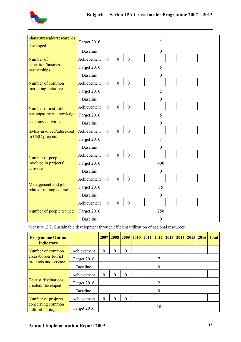

| plans/strategies/researches<br>developed        | Target 2016     |                  |                  |                  |  |  | 3                |  |  |  |  |  |
|-------------------------------------------------|-----------------|------------------|------------------|------------------|--|--|------------------|--|--|--|--|--|
|                                                 | <b>Baseline</b> |                  |                  |                  |  |  | $\boldsymbol{0}$ |  |  |  |  |  |
| Number of                                       | Achievement     | $\boldsymbol{0}$ | $\boldsymbol{0}$ | $\boldsymbol{0}$ |  |  |                  |  |  |  |  |  |
| education/business<br>partnerships              | Target 2016     |                  |                  |                  |  |  | 5                |  |  |  |  |  |
|                                                 | <b>Baseline</b> |                  |                  |                  |  |  | $\boldsymbol{0}$ |  |  |  |  |  |
| Number of common                                | Achievement     | $\boldsymbol{0}$ | $\overline{0}$   | $\mathbf{0}$     |  |  |                  |  |  |  |  |  |
| marketing initiatives                           | Target 2016     |                  |                  |                  |  |  | $\overline{2}$   |  |  |  |  |  |
|                                                 | <b>Baseline</b> |                  |                  |                  |  |  | $\boldsymbol{0}$ |  |  |  |  |  |
| Number of institutions                          | Achievement     | $\overline{0}$   | $\mathbf{0}$     | $\boldsymbol{0}$ |  |  |                  |  |  |  |  |  |
| participating in knowledge                      | Target 2016     |                  |                  |                  |  |  | 5                |  |  |  |  |  |
| economy activities                              | <b>Baseline</b> |                  |                  |                  |  |  | $\boldsymbol{0}$ |  |  |  |  |  |
| <b>SMEs</b> involved/addressed                  | Achievement     | $\mathbf{0}$     | $\overline{0}$   | $\overline{0}$   |  |  |                  |  |  |  |  |  |
| in CBC projects                                 | Target 2016     | 7                |                  |                  |  |  |                  |  |  |  |  |  |
|                                                 | <b>Baseline</b> |                  |                  |                  |  |  | $\boldsymbol{0}$ |  |  |  |  |  |
| Number of people                                | Achievement     | $\mathbf{0}$     | $\overline{0}$   | $\overline{0}$   |  |  |                  |  |  |  |  |  |
| involved in projects'                           | Target 2016     |                  |                  |                  |  |  | 400              |  |  |  |  |  |
| activities                                      | <b>Baseline</b> |                  |                  |                  |  |  | $\boldsymbol{0}$ |  |  |  |  |  |
|                                                 | Achievement     | $\boldsymbol{0}$ | $\overline{0}$   | $\mathbf{0}$     |  |  |                  |  |  |  |  |  |
| Management and job-<br>related training courses | Target 2016     |                  |                  |                  |  |  | 15               |  |  |  |  |  |
| Number of people trained                        | <b>Baseline</b> |                  |                  |                  |  |  | $\boldsymbol{0}$ |  |  |  |  |  |
|                                                 | Achievement     | $\mathbf{0}$     | $\boldsymbol{0}$ | $\boldsymbol{0}$ |  |  |                  |  |  |  |  |  |
|                                                 | Target 2016     |                  |                  |                  |  |  | 250              |  |  |  |  |  |
|                                                 | <b>Baseline</b> |                  |                  |                  |  |  | $\boldsymbol{0}$ |  |  |  |  |  |

Measure .2.2. Sustainable development through efficient utilization of regional resources

| <b>Programme Output</b><br><b>Indicators</b>     |                 | 2007     | 2008     | 2009             | 2010 |  |    |  |  |  |                                         | <b>Total</b> |  |
|--------------------------------------------------|-----------------|----------|----------|------------------|------|--|----|--|--|--|-----------------------------------------|--------------|--|
| Number of common                                 | Achievement     | $\theta$ | $\Omega$ | $\theta$         |      |  |    |  |  |  |                                         |              |  |
| cross-border tourist<br>products and services    | Target 2016     |          |          |                  |      |  |    |  |  |  | 2011   2012   2013   2014   2015   2016 |              |  |
|                                                  | <b>Baseline</b> |          |          |                  |      |  | 0  |  |  |  |                                         |              |  |
|                                                  | Achievement     | $\theta$ | $\Omega$ | $\boldsymbol{0}$ |      |  |    |  |  |  |                                         |              |  |
| <b>Tourist destinations</b><br>created/developed | Target 2016     | 2        |          |                  |      |  |    |  |  |  |                                         |              |  |
|                                                  | <b>Baseline</b> |          |          |                  |      |  | 0  |  |  |  |                                         |              |  |
| Number of projects                               | Achievement     | $\theta$ | $\Omega$ | $\boldsymbol{0}$ |      |  |    |  |  |  |                                         |              |  |
| concerning common<br>cultural heritage           | Target 2016     |          |          |                  |      |  | 10 |  |  |  |                                         |              |  |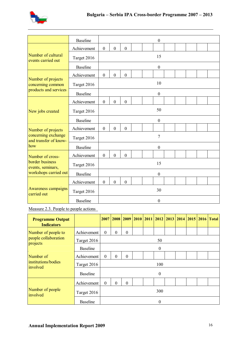

|                                                                                                                                                                                                                                                              | <b>Baseline</b> |                  |                  |                  |  |  | $\boldsymbol{0}$ |  |  |  |  |  |  |
|--------------------------------------------------------------------------------------------------------------------------------------------------------------------------------------------------------------------------------------------------------------|-----------------|------------------|------------------|------------------|--|--|------------------|--|--|--|--|--|--|
|                                                                                                                                                                                                                                                              | Achievement     | $\boldsymbol{0}$ | $\boldsymbol{0}$ | $\boldsymbol{0}$ |  |  |                  |  |  |  |  |  |  |
| Number of cultural<br>events carried out                                                                                                                                                                                                                     | Target 2016     |                  |                  |                  |  |  | 15               |  |  |  |  |  |  |
|                                                                                                                                                                                                                                                              | <b>Baseline</b> |                  |                  |                  |  |  | $\boldsymbol{0}$ |  |  |  |  |  |  |
| Number of projects<br>concerning common<br>products and services<br>New jobs created<br>Number of projects<br>concerning exchange<br>and transfer of know-                                                                                                   | Achievement     | $\boldsymbol{0}$ | $\boldsymbol{0}$ | $\boldsymbol{0}$ |  |  |                  |  |  |  |  |  |  |
|                                                                                                                                                                                                                                                              | Target 2016     |                  |                  |                  |  |  | 10               |  |  |  |  |  |  |
|                                                                                                                                                                                                                                                              | <b>Baseline</b> |                  |                  |                  |  |  | $\boldsymbol{0}$ |  |  |  |  |  |  |
|                                                                                                                                                                                                                                                              | Achievement     | $\boldsymbol{0}$ | $\boldsymbol{0}$ | $\boldsymbol{0}$ |  |  |                  |  |  |  |  |  |  |
|                                                                                                                                                                                                                                                              | Target 2016     | 50               |                  |                  |  |  |                  |  |  |  |  |  |  |
|                                                                                                                                                                                                                                                              | <b>Baseline</b> |                  |                  |                  |  |  | $\boldsymbol{0}$ |  |  |  |  |  |  |
| how<br>Number of cross-<br>border business<br>events, seminars,<br>workshops carried out<br>Awareness campaigns<br>carried out                                                                                                                               | Achievement     | $\boldsymbol{0}$ | $\mathbf{0}$     | $\boldsymbol{0}$ |  |  |                  |  |  |  |  |  |  |
|                                                                                                                                                                                                                                                              | Target 2016     | $\overline{7}$   |                  |                  |  |  |                  |  |  |  |  |  |  |
|                                                                                                                                                                                                                                                              | <b>Baseline</b> |                  |                  |                  |  |  | $\boldsymbol{0}$ |  |  |  |  |  |  |
| Achievement<br>$\boldsymbol{0}$<br>$\boldsymbol{0}$<br>$\mathbf{0}$<br>15<br>Target 2016<br><b>Baseline</b><br>$\boldsymbol{0}$<br>Achievement<br>$\mathbf{0}$<br>$\overline{0}$<br>$\mathbf{0}$<br>30<br>Target 2016<br><b>Baseline</b><br>$\boldsymbol{0}$ |                 |                  |                  |                  |  |  |                  |  |  |  |  |  |  |
|                                                                                                                                                                                                                                                              |                 |                  |                  |                  |  |  |                  |  |  |  |  |  |  |
|                                                                                                                                                                                                                                                              |                 |                  |                  |                  |  |  |                  |  |  |  |  |  |  |
|                                                                                                                                                                                                                                                              |                 |                  |                  |                  |  |  |                  |  |  |  |  |  |  |
|                                                                                                                                                                                                                                                              |                 |                  |                  |                  |  |  |                  |  |  |  |  |  |  |
|                                                                                                                                                                                                                                                              |                 |                  |                  |                  |  |  |                  |  |  |  |  |  |  |

Measure 2.3. People to people actions

| <b>Programme Output</b><br><b>Indicators</b> |                 | 2007     |                                                                                                                                                                                          |                  |  |  |  |  |  |  |  |  |
|----------------------------------------------|-----------------|----------|------------------------------------------------------------------------------------------------------------------------------------------------------------------------------------------|------------------|--|--|--|--|--|--|--|--|
| Number of people to                          | Achievement     | $\theta$ | $\boldsymbol{0}$                                                                                                                                                                         | $\boldsymbol{0}$ |  |  |  |  |  |  |  |  |
| people collaboration<br>projects             | Target 2016     |          | 2010   2011   2012   2013   2014   2015   2016   Total<br>2008 2009<br>50<br>$\theta$<br>$\mathbf{0}$<br>$\Omega$<br>100<br>$\boldsymbol{0}$<br>$\boldsymbol{0}$<br>$\theta$<br>300<br>0 |                  |  |  |  |  |  |  |  |  |
|                                              | <b>Baseline</b> |          |                                                                                                                                                                                          |                  |  |  |  |  |  |  |  |  |
| Number of                                    | Achievement     | $\theta$ |                                                                                                                                                                                          |                  |  |  |  |  |  |  |  |  |
| institutions/bodies<br>involved              | Target 2016     |          |                                                                                                                                                                                          |                  |  |  |  |  |  |  |  |  |
|                                              | <b>Baseline</b> |          |                                                                                                                                                                                          |                  |  |  |  |  |  |  |  |  |
|                                              | Achievement     | $\theta$ |                                                                                                                                                                                          |                  |  |  |  |  |  |  |  |  |
| Number of people<br>involved                 | Target 2016     |          |                                                                                                                                                                                          |                  |  |  |  |  |  |  |  |  |
|                                              | <b>Baseline</b> |          |                                                                                                                                                                                          |                  |  |  |  |  |  |  |  |  |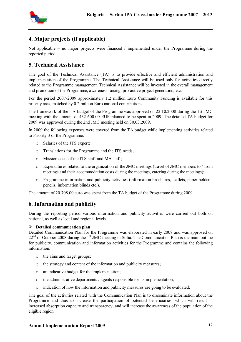

# **4. Major projects (if applicable)**

Not applicable – no major projects were financed / implemented under the Programme during the reported period.

# **5. Technical Assistance**

The goal of the Technical Assistance (TA) is to provide effective and efficient administration and implementation of the Programme. The Technical Assistance will be used only for activities directly related to the Programme management. Technical Assistance will be invested in the overall management and promotion of the Programme, awareness raising, pro-active project generation, etc.

For the period 2007-2009 approximately 1.2 million Euro Community Funding is available for this priority axis, matched by 0.2 million Euro national contributions.

The framework of the TA budget of the Programme was approved on 22.10.2008 during the 1st JMC meeting with the amount of 432 600.00 EUR planned to be spent in 2009. The detailed TA budget for 2009 was approved during the 2nd JMC meeting held on 30.03.2009.

In 2009 the following expenses were covered from the TA budget while implementing activities related to Priority 3 of the Programme:

- o Salaries of the JTS expert;
- o Translations for the Programme and the JTS needs;
- o Mission costs of the JTS staff and MA staff;
- o Expenditures related to the organization of the JMC meetings (travel of JMC members to / from meetings and their accommodation costs during the meetings, catering during the meetings);
- o Programme information and publicity activities (information brochures, leaflets, paper holders, pencils, information blinds etc.).

The amount of 20 708.00 euro was spent from the TA budget of the Programme during 2009.

# **6. Information and publicity**

During the reporting period various information and publicity activities were carried out both on national, as well as local and regional levels.

#### **Detailed communication plan**

Detailed Communication Plan for the Programme was elaborated in early 2008 and was approved on  $22<sup>nd</sup>$  of October 2008 during the 1<sup>st</sup> JMC meeting in Sofia. The Communication Plan is the main outline for publicity, communication and information activities for the Programme and contains the following information:

- o the aims and target groups;
- o the strategy and content of the information and publicity measures;
- o an indicative budget for the implementation;
- o the administrative departments / agents responsible for its implementation;
- $\circ$  indication of how the information and publicity measures are going to be evaluated;

The goal of the activities related with the Communication Plan is to disseminate information about the Programme and thus to increase the participation of potential beneficiaries, which will result in increased absorption capacity and transparency, and will increase the awareness of the population of the eligible region.

#### **Annual Implementation Report 2009** 17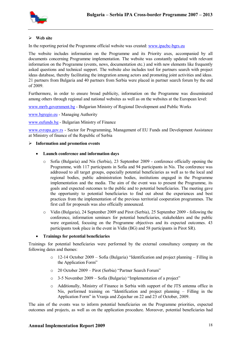

#### **Web site**

In the reporting period the Programme official website was created: www.ipacbc-bgrs.eu

The website includes information on the Programme and its Priority axes, accompanied by all documents concerning Programme implementation. The website was constantly updated with relevant information on the Programme (events, news, documentation etc.) and with new elements like frequently asked questions and technical support. The website also includes tool for partners search with project ideas database, thereby facilitating the integration among actors and promoting joint activities and ideas. 21 partners from Bulgaria and 40 partners from Serbia were placed in partner search forum by the end of 2009.

Furthermore, in order to ensure broad publicity, information on the Programme was disseminated among others through regional and national websites as well as on the websites at the European level:

www.mrrb.government.bg - Bulgarian Ministry of Regional Development and Public Works

www.bgregio.eu - Managing Authority

www.eufunds.bg - Bulgarian Ministry of Finance

www.evropa.gov.rs - Sector for Programming, Management of EU Funds and Development Assistance at Ministry of finance of the Republic of Serbia

#### **Information and promotion events**

#### **Launch conference and information days**

- o Sofia (Bulgaria) and Nis (Serbia), 23 September 2009 conference officially opening the Programme, with 117 participants in Sofia and 94 participants in Nis. The conference was addressed to all target groups, especially potential beneficiaries as well as to the local and regional bodies, public administration bodies, institutions engaged in the Programme implementation and the media. The aim of the event was to present the Programme, its goals and expected outcomes to the public and to potential beneficiaries. The meeting gave the opportunity to potential beneficiaries to find out about the experiences and best practices from the implementation of the previous territorial cooperation programmes. The first call for proposals was also officially announced.
- o Vidin (Bulgaria), 24 September 2009 and Pirot (Serbia), 25 September 2009 following the conference, information seminars for potential beneficiaries, stakeholders and the public were organized, focusing on the Programme objectives and its expected outcomes. 43 participants took place in the event in Vidin (BG) and 58 participants in Pirot SR).

#### **Trainings for potential beneficiaries**

Trainings for potential beneficiaries were performed by the external consultancy company on the following dates and themes:

- o 12-14 October 2009 Sofia (Bulgaria) "Identification and project planning Filling in the Application Form"
- o 20 October 2009 Pirot (Serbia) "Partner Search Forum"
- o 3-5 November 2009 Sofia (Bulgaria) "Implementation of a project"
- o Additionally, Ministry of Finance in Serbia with support of the JTS antenna office in Nis, performed training on "Identification and project planning – Filling in the Application Form" in Vranja and Zajechar on 22 and 23 of October, 2009.

The aim of the events was to inform potential beneficiaries on the Programme priorities, expected outcomes and projects, as well as on the application procedure. Moreover, potential beneficiaries had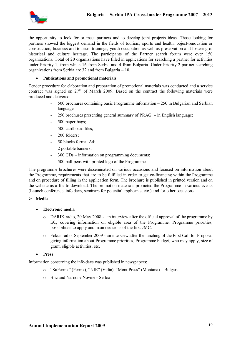

the opportunity to look for or meet partners and to develop joint projects ideas. Those looking for partners showed the biggest demand in the fields of tourism, sports and health, object-renovation or construction, business and tourism trainings, youth occupation as well as preservation and fostering of historical and culture heritage. The participants of the Partner search forum were over 150 organizations. Total of 20 organizations have filled in applications for searching a partner for activities under Priority 1, from which 16 from Serbia and 4 from Bulgaria. Under Priority 2 partner searching organizations from Serbia are 32 and from Bulgaria – 10.

#### **Publications and promotional materials**

Tender procedure for elaboration and preparation of promotional materials was conducted and a service contract was signed on  $27<sup>th</sup>$  of March 2009. Based on the contract the following materials were produced and delivered:

- 500 brochures containing basic Programme information 250 in Bulgarian and Serbian language;
- 250 brochures presenting general summary of  $PRAG in$  English language;
- 500 paper bags;
- 500 cardboard files;
- 200 folders;
- 50 blocks format A4;
- 2 portable banners;
- 300 CDs information on programming documents;
- 500 ball-pens with printed logo of the Programme.

The programme brochures were disseminated on various occasions and focused on information about the Programme, requirements that are to be fulfilled in order to get co-financing within the Programme and on procedure of filling in the application form. The brochure is published in printed version and on the website as a file to download. The promotion materials promoted the Programme in various events (Launch conference, info days, seminars for potential applicants, etc.) and for other occasions.

#### **Media**

- **Electronic media**
	- $\circ$  DARIK radio, 20 May 2008 an interview after the official approval of the programme by EC, covering information on eligible area of the Programme, Programme priorities, possibiliteis to apply and main decisions of the first JMC.
	- o Fokus radio, September 2009 an interview after the lunching of the First Call for Proposal giving information about Programme priorities, Programme budget, who may apply, size of grant, eligible activities, etc.

#### **Press**

Information concerning the info-days was published in newspapers:

- o "SuPernik" (Pernik), "NIE" (Vidin), "Mont Press" (Montana) Bulgaria
- o Blic and Narodne Novine Serbia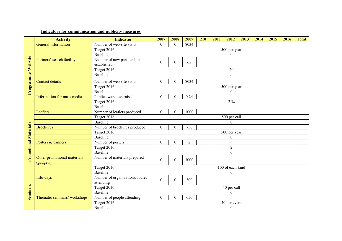## **Indicators for communication and publicity measures**

|                              | <b>Activity</b>              | <b>Indicator</b>                          | 2007             | 2008           | 2009           | 210 | 2011 | 2012                             | 2013 | 2014 | 2015 | 2016 | <b>Total</b> |  |  |
|------------------------------|------------------------------|-------------------------------------------|------------------|----------------|----------------|-----|------|----------------------------------|------|------|------|------|--------------|--|--|
|                              | General information          | Number of web-site visits                 | $\Omega$         | $\overline{0}$ | 8034           |     |      |                                  |      |      |      |      |              |  |  |
|                              |                              | Target 2016                               |                  |                |                |     |      | 500 per year                     |      |      |      |      |              |  |  |
|                              |                              | Baseline                                  |                  |                |                |     |      | $\boldsymbol{0}$                 |      |      |      |      |              |  |  |
|                              | Partners' search facility    | Number of new partnerships                | $\theta$         | $\overline{0}$ | 62             |     |      |                                  |      |      |      |      |              |  |  |
|                              |                              | established                               |                  |                |                |     |      |                                  |      |      |      |      |              |  |  |
|                              |                              | Target 2016                               |                  |                |                |     |      | 20                               |      |      |      |      |              |  |  |
| Programme Website            |                              | Baseline                                  | $\boldsymbol{0}$ |                |                |     |      |                                  |      |      |      |      |              |  |  |
|                              | Contact details              | Number of web-site visits                 | $\Omega$         | $\theta$       | 8034           |     |      |                                  |      |      |      |      |              |  |  |
|                              |                              | Target 2016                               |                  |                |                |     |      | 500 per year                     |      |      |      |      |              |  |  |
|                              |                              | Baseline                                  | $\boldsymbol{0}$ |                |                |     |      |                                  |      |      |      |      |              |  |  |
|                              | Information for mass media   | Public awareness raised                   | $\theta$         | $\theta$       | 0,24           |     |      |                                  |      |      |      |      |              |  |  |
|                              |                              | Target 2016                               |                  |                |                |     |      | $2\%$                            |      |      |      |      |              |  |  |
|                              |                              | Baseline                                  |                  |                |                |     |      |                                  |      |      |      |      |              |  |  |
|                              | Leaflets                     | Number of leaflets produced               | $\Omega$         | $\mathbf{0}$   | 1000           |     |      |                                  |      |      |      |      |              |  |  |
|                              |                              | Target 2016                               | 500 per call     |                |                |     |      |                                  |      |      |      |      |              |  |  |
|                              |                              | Baseline                                  | $\overline{0}$   |                |                |     |      |                                  |      |      |      |      |              |  |  |
|                              | <b>Brochures</b>             | Number of brochures produced              | $\mathbf{0}$     | $\theta$       | 750            |     |      |                                  |      |      |      |      |              |  |  |
|                              |                              | Target 2016                               | 500 per year     |                |                |     |      |                                  |      |      |      |      |              |  |  |
|                              |                              | Baseline                                  | $\boldsymbol{0}$ |                |                |     |      |                                  |      |      |      |      |              |  |  |
|                              | Posters & banners            | Number of posters                         | $\Omega$         | $\Omega$       | $\overline{2}$ |     |      |                                  |      |      |      |      |              |  |  |
|                              |                              | Target 2016                               |                  |                |                |     |      | $\overline{2}$                   |      |      |      |      |              |  |  |
|                              |                              | Baseline                                  |                  |                |                |     |      | $\mathbf{0}$                     |      |      |      |      |              |  |  |
| <b>Promotional Materials</b> | Other promotional materials  | Number of materials prepared              | $\mathbf{0}$     | $\mathbf{0}$   | 3000           |     |      |                                  |      |      |      |      |              |  |  |
|                              | (gadgets)                    |                                           |                  |                |                |     |      |                                  |      |      |      |      |              |  |  |
|                              |                              | Target 2016                               |                  |                |                |     |      | $\overline{100}$ of each kind    |      |      |      |      |              |  |  |
|                              |                              | Baseline                                  |                  |                |                |     |      | $\theta$                         |      |      |      |      |              |  |  |
|                              | Info-days                    | Number of organizations/bodies            | $\mathbf{0}$     | $\overline{0}$ | 300            |     |      |                                  |      |      |      |      |              |  |  |
|                              |                              | attending                                 |                  |                |                |     |      |                                  |      |      |      |      |              |  |  |
|                              |                              | Target 2016<br>Baseline                   |                  |                |                |     |      | 40 per call                      |      |      |      |      |              |  |  |
| <b>Seminars</b>              |                              |                                           | $\theta$         | $\theta$       | 650            |     |      | $\boldsymbol{0}$                 |      |      |      |      |              |  |  |
|                              | Thematic seminars/ workshops | Number of people attending<br>Target 2016 |                  |                |                |     |      |                                  |      |      |      |      |              |  |  |
|                              |                              | Baseline                                  |                  |                |                |     |      | 40 per event<br>$\boldsymbol{0}$ |      |      |      |      |              |  |  |
|                              |                              |                                           |                  |                |                |     |      |                                  |      |      |      |      |              |  |  |